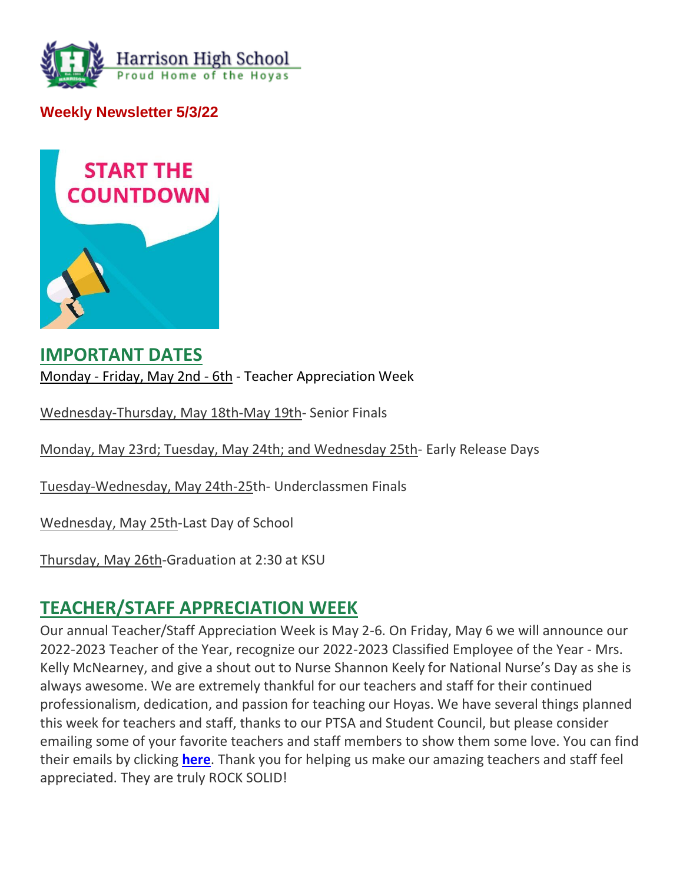

**Weekly Newsletter 5/3/22**



### **IMPORTANT DATES** Monday - Friday, May 2nd - 6th - Teacher Appreciation Week

Wednesday-Thursday, May 18th-May 19th- Senior Finals

Monday, May 23rd; Tuesday, May 24th; and Wednesday 25th- Early Release Days

Tuesday-Wednesday, May 24th-25th- Underclassmen Finals

Wednesday, May 25th-Last Day of School

Thursday, May 26th-Graduation at 2:30 at KSU

### **TEACHER/STAFF APPRECIATION WEEK**

Our annual Teacher/Staff Appreciation Week is May 2-6. On Friday, May 6 we will announce our 2022-2023 Teacher of the Year, recognize our 2022-2023 Classified Employee of the Year - Mrs. Kelly McNearney, and give a shout out to Nurse Shannon Keely for National Nurse's Day as she is always awesome. We are extremely thankful for our teachers and staff for their continued professionalism, dedication, and passion for teaching our Hoyas. We have several things planned this week for teachers and staff, thanks to our PTSA and Student Council, but please consider emailing some of your favorite teachers and staff members to show them some love. You can find their emails by clicking **[here](http://url503.cobbk12.org/ls/click?upn=oq5wnnHoD1NAxpT8rNAGXMR1eG7MJW44UQRvGTy3Tspx1C7wHGN382eg1HYg37FBeN3t-2B7ekRkmTwrMl2mMQFg-3D-3D9vMw_W-2BfLYUoUwwI1tuGClKRhhPOSepcZIFoXnUIMjiA717kQ1i13BNQTwwJ9cl-2BWArXr6-2FDxoCbNFrRaplJKtN7fZ6FN9QvZUzEqAB9fOeZoTEgTLdCw6DCByjr-2BdLt0Ypb3ey-2FWm-2FWyv4I1uWM6e9X7xokmeBc36c8A8KdsxufzeqLozPtqsAFl9L-2BhEpIIB2PCB8xVYgTmdIXR-2F6fSvQX2If-2BstRD-2FlbfmNPdhgnIN5E0uZZsGBo2eGVXr6ci-2Fk8P3t2amVFYZ0K4QgQnB-2B6gyTg-3D-3D)**. Thank you for helping us make our amazing teachers and staff feel appreciated. They are truly ROCK SOLID!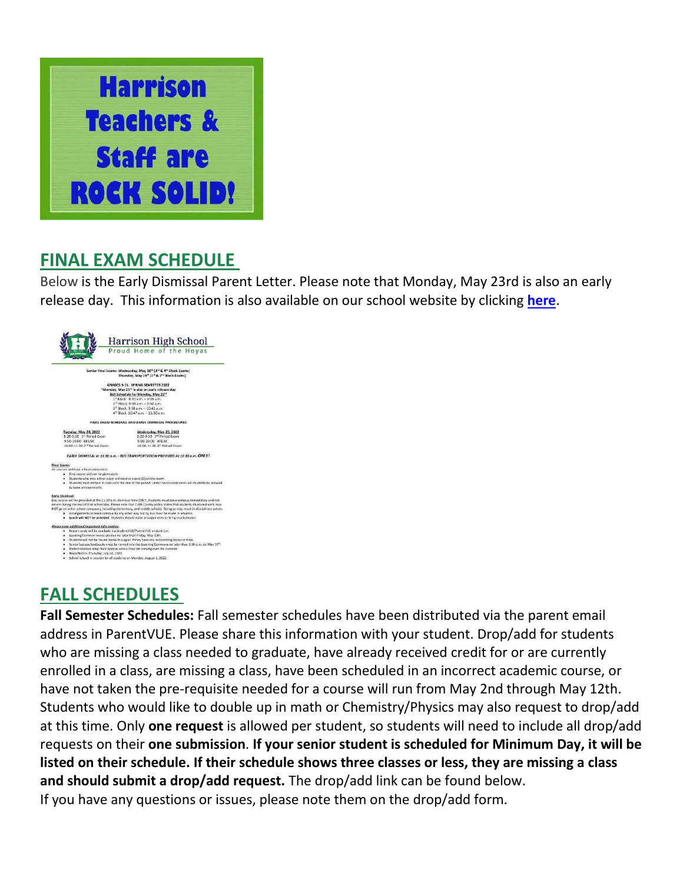

### **FINAL EXAM SCHEDULE**

Below is the Early Dismissal Parent Letter. Please note that Monday, May 23rd is also an early release day. This information is also available on our school website by clicking **[here](http://url503.cobbk12.org/ls/click?upn=oq5wnnHoD1NAxpT8rNAGXO9pgQjsMrFEdSeXOUfDN1RgsJ7faXaOoiniTTU3aAbI9EKR3a77MWDurGl8iss5KQ-3D-3DRb-G_W-2BfLYUoUwwI1tuGClKRhhPOSepcZIFoXnUIMjiA717kQ1i13BNQTwwJ9cl-2BWArXr6-2FDxoCbNFrRaplJKtN7fZ6FN9QvZUzEqAB9fOeZoTEgTLdCw6DCByjr-2BdLt0Ypb3e-2BqK-2F2VYRHBf9YEByWS2UOhad4aMz-2BAYUTC5khsFXrQaodfaIWwJVNHuWMN3vA81MeJRi5AdTcuJuqg6lbohzAQZqZkE-2BJqVLSsGmtTNo19eY4zdqmRJxEWN8N8zwaZN6XtTviO10GvLYu0PP4wCCw-3D-3D)**.



# **FALL SCHEDULES**

**Fall Semester Schedules:** Fall semester schedules have been distributed via the parent email address in ParentVUE. Please share this information with your student. Drop/add for students who are missing a class needed to graduate, have already received credit for or are currently enrolled in a class, are missing a class, have been scheduled in an incorrect academic course, or have not taken the pre-requisite needed for a course will run from May 2nd through May 12th. Students who would like to double up in math or Chemistry/Physics may also request to drop/add at this time. Only **one request** is allowed per student, so students will need to include all drop/add requests on their **one submission**. **If your senior student is scheduled for Minimum Day, it will be listed on their schedule. If their schedule shows three classes or less, they are missing a class and should submit a drop/add request.** The drop/add link can be found below. If you have any questions or issues, please note them on the drop/add form.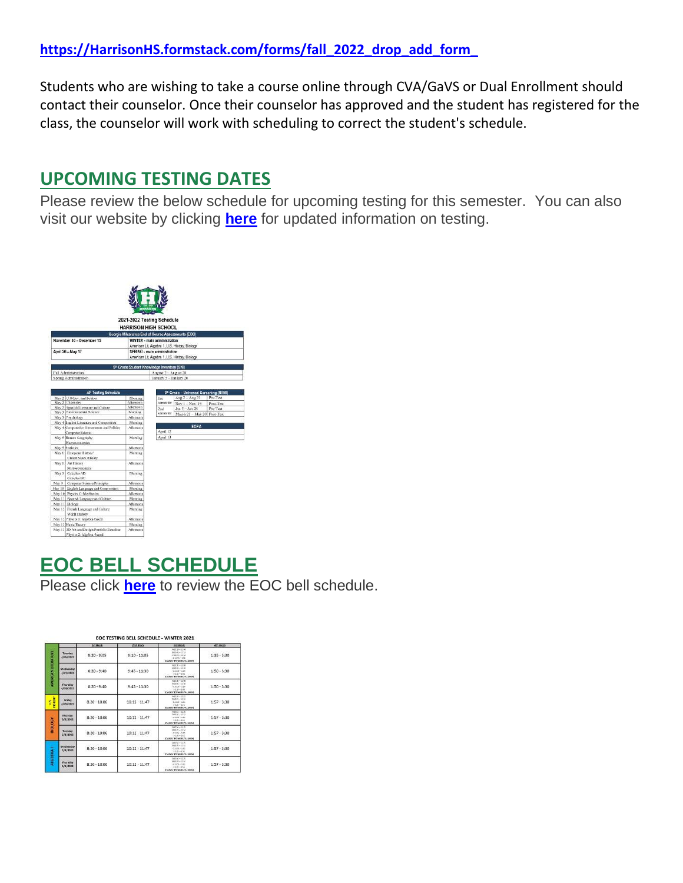Students who are wishing to take a course online through CVA/GaVS or Dual Enrollment should contact their counselor. Once their counselor has approved and the student has registered for the class, the counselor will work with scheduling to correct the student's schedule.

### **UPCOMING TESTING DATES**

Please review the below schedule for upcoming testing for this semester. You can also visit our website by clicking **[here](http://url503.cobbk12.org/ls/click?upn=kYpeu9rJVSU1acS4VG0V9dP8zXnygu7Up5qBE7usQ1gjJ2KuMFhtfI2x-2Ff4v7Mfrxjo-2FzJAMzmBp1pISxXOAxaTI-2FtsKP50Bsk89nbXR3XJAJCp4SMvzwg6Tk229l-2FQsOMEfemgC1IFBzcY1D5ggyNRVPKqpOXg7TH-2BXWGP5f3tcMEEgOEviaSyB1Mk33YmIhuO0VpSeaSgzAVdUa-2FY0Z4q7u-2BCgio5JkixgloDxe5rCqkgbIX9YN6AuDWwdqpAmNanLVzxBfeEHEFjmJRO5fUWWQvCuedyqcT8NlElE51ffwTetUS2fzAnjriJAfwf6pZ4jh1ivqLlXvYUC1q-2BTsTkkEFJrpsr20C1hlep9C1bLFOfrl7BlZY1cuYZb4G-2BqNFqGfNhf15zaMRNUH0mOJk2qBOcOdRcADRwfE6B-2BXts4DjHP0d3Li34z3OXMgBCE5q1PnPzoPfx0QILqBTd6ROv-2BYX2H6WPF5n3y1cik6UVD0jZPDMTtdgsIS5We8btT3INH0BDUfMb-2BovWvn9Pbo43SnLwP-2BaTLm1vj2yAIDtTjNBaMZnMsYWPlSDoJG2IkN8IGUFzNoiScY-2BODg1AevBy2xeYYOfJ6zBnk0akc5dMk0BDVycwIaAmhLYYMXAsgIWt5WchnIugFDS0-2FWX9CnayOgfKt-2Bv8uBtd6ogkxKNjIj2hSV8nUpuasQwkAJ-2B9Pes-2F3ORW6ZrQcWt2QnyG-2FFJY5tRIBZ1Bhme2kNmJLI9V2eCnblDLdaT2fu4GctN0dmsHiTE0AXq1Gd3v5HKFJUc5SY7dAYw-2Bu-2Bbrw1zDFtpFoCflJjgV1WGkyVvLTEvKsknWu6thnUsP3oIv9ocXUuBDdwTF8QFU2-2BSrXsXnFAsW5e15vkwOsSsbvfzxmIDnSsEO3aKDPuGBmjbo5voj-2F06fohlEauFwfNpGqLC9w4fG4wIvTAFhYv7oAhO9j5pDtoOuxWMPmeK1ZQP5klpc3kgfHjL9BtPf2ry9vTp3O1Kd8pDvF49V5dwZCoUfMKqVUq2G7cf76CC5VQJUQPtiptKms9XgxQvZ9L4mZn5qFlLxYW7Ge9NHplLHGKBG0I-2BKdxf2ku3MqlQCOVu-2FZYg-2BJs6yldme63o-2F7e8MQ9cLDdZJRoCfVFYlWx-2F-2FbGbxp1HmFg5rfYS-2F9i0PHaGueFDfDbfbWLIoNysylncDssy5F-2BU1aW-2Bf-2F3nMtO7HBdAzDScRvYKZQ_W-2BfLYUoUwwI1tuGClKRhhPOSepcZIFoXnUIMjiA717kQ1i13BNQTwwJ9cl-2BWArXr6-2FDxoCbNFrRaplJKtN7fZ6FN9QvZUzEqAB9fOeZoTEgTLdCw6DCByjr-2BdLt0Ypb33tGGPfZtogKufjXG-2FpwFUvu7pA-2BYjkdyAGFzrEVJV5IJpxSXlhwcvVbG8VNh-2Fx6sXl56WC9R-2F7yKd7C6perEZLvaNlaWW6zzGAwUOwk19DhMH3kMc-2BX96BLq-2BWLJzoVHYGtE2m8-2BkkfwT-2BSnwJgY1g-3D-3D)** for updated information on testing.



# **EOC BELL SCHEDULE**

Please click **[here](http://url503.cobbk12.org/ls/click?upn=lifxRKNE4qaF4JWLXkbAsjh7ycX9GyI4V6qRbFFivNpp-2B3syQ-2BF1CRoHOrZqfnEtQcfUXEzQ4WYketaNTGV349eo-2B3sTIGdeyaGVfMh6KSBFWyA9PMb0FO2aMS0n0SKHORPEX8EfBNrD-2FdYc4i7yenHcdWMWZuD8S9tFA-2BDnD7Q-3DHGUH_W-2BfLYUoUwwI1tuGClKRhhPOSepcZIFoXnUIMjiA717kQ1i13BNQTwwJ9cl-2BWArXr6-2FDxoCbNFrRaplJKtN7fZ6FN9QvZUzEqAB9fOeZoTEgTLdCw6DCByjr-2BdLt0Ypb3X-2FKLx-2FdDwEzpxG-2FTniOrJ0midlWfI79H4aWcDlMsPXIHOcKvKt9wXkLVMNVj-2B4IiJpDizvyaHc-2FPx4xoOYa7K6tjcMYq89qhN5uCDj0bvN1o6ZmLmHMTt2xKLKvteyNhP-2B-2F62ACBhEtjEB1CJPWplw-3D-3D)** to review the EOC bell schedule.

|                           |                              | 2st Work          | 2nd Block          | <b>Znd Block</b>                                                                                               | 4th Block         |
|---------------------------|------------------------------|-------------------|--------------------|----------------------------------------------------------------------------------------------------------------|-------------------|
| <b>UMERICAN UTERATURE</b> | Tuesday<br>4/26/2022         | $8:20 - 9:05$     | $9:10 - 11:05$     | A1130-1146<br><b>BYLIN-1315</b><br>$0.18120 - 13.58$<br>01203-148<br>(DANIEL TECHNOLOGICALISTICH)              | $1:35 - 3:30$     |
|                           | Wednesday<br>4/27/2022       | $8:20 - 9:40$     | $9 - 45 - 11 - 30$ | A 12-25 - 12-58<br>@ 15:04 - 53.95<br>$0.1239 - 0.18$<br>$0.144 - 3.06$<br>(DUMBERTENE BATA LENDE)             | $1:50 - 3:30$     |
|                           | Thursday<br>4/28/2022        | $8 - 20 - 9 - 40$ | $9 - 45 - 11 - 30$ | $A1140 - 0348$<br>83594 - 12:35<br>$C1298 - 118$<br>$0.114 - 0.45$<br>(OLASSES TESTING EAT A LUNCHE            | $1:50 - 3:30$     |
| <b>HOLSE</b><br>ś         | Friday<br>4/29/2022          | $8:20 - 10:06$    | $10:12 - 11:47$    | $A1153 - 1225$<br>93225-1251<br>$0.4295 - 0.15$<br>$2126 - 255$<br>(CLASSES TESTING SAF A LENDH)               | $1 - 57 - 3 - 30$ |
|                           | Monday<br>5/2/2022           | $8:20 - 10:06$    | 10:12:11:47        | $A1153 - 1221$<br>0025-5355<br>$= 1280 - 535$<br>$2426 - 255$<br>CLANES TRYING MCA LINCH                       | 1:57.3:30         |
| <b>NDOTOR</b>             | Tuesday<br>5/3/2022          | $8:20 - 10:06$    | $10:12 - 11:47$    | 81151-1320<br>$9.026 - 13.51$<br>$0.1056 - 5.15$<br>$0.121 - 330$<br>(GASSE TECHNICATA HANDS                   | $1:57 - 3:30$     |
| <b>ALGEBRA I</b>          | <b>Wednesday</b><br>5/4/2022 | $8:20 - 10:06$    | $10:12 - 11:47$    | $A11A1 - 1325$<br>■ ログ(~12名)<br>$4.12 - 95 = 9.11$<br>$9.105 - 151$<br>(DLAMAS TESTING EAT A LUNCH)            | $1:57 - 3:30$     |
|                           | Thursday<br>5/5/2022         | $8:20 - 10:06$    | $10:12 - 11:47$    | $A31A1 - 53.25$<br>$0.35(29 - 5.5)$<br>$0.1255 - 231$<br>$-0.125 - 2.51$<br>de escolo recipenti della console- | $1:57 - 3:30$     |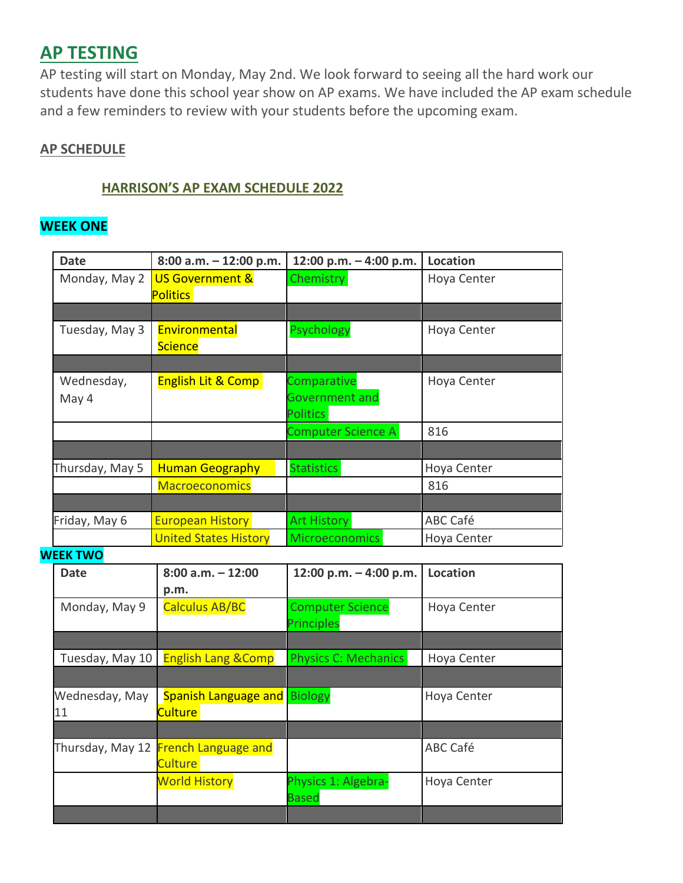### **AP TESTING**

AP testing will start on Monday, May 2nd. We look forward to seeing all the hard work our students have done this school year show on AP exams. We have included the AP exam schedule and a few reminders to review with your students before the upcoming exam.

#### **AP SCHEDULE**

#### **HARRISON'S AP EXAM SCHEDULE 2022**

### **WEEK ONE**

| <b>Date</b>          | 8:00 a.m. - 12:00 p.m.                          | 12:00 p.m. - 4:00 p.m.              | Location        |
|----------------------|-------------------------------------------------|-------------------------------------|-----------------|
| Monday, May 2        | US Government &                                 | <b>Chemistry</b>                    | Hoya Center     |
|                      | <b>Politics</b>                                 |                                     |                 |
|                      |                                                 |                                     |                 |
| Tuesday, May 3       | Environmental                                   | <b>Psychology</b>                   | Hoya Center     |
|                      | <b>Science</b>                                  |                                     |                 |
|                      |                                                 |                                     |                 |
| Wednesday,           | <b>English Lit &amp; Comp</b>                   | Comparative<br>Government and       | Hoya Center     |
| May 4                |                                                 | <b>Politics</b>                     |                 |
|                      |                                                 | Computer Science A                  | 816             |
|                      |                                                 |                                     |                 |
| Thursday, May 5      | <b>Human Geography</b>                          | <b>Statistics</b>                   | Hoya Center     |
|                      | <b>Macroeconomics</b>                           |                                     | 816             |
|                      |                                                 |                                     |                 |
| Friday, May 6        | <b>European History</b>                         | <b>Art History</b>                  | ABC Café        |
|                      |                                                 |                                     |                 |
|                      | <b>United States History</b>                    | <b>Microeconomics</b>               | Hoya Center     |
| <b>WEEK TWO</b>      |                                                 |                                     |                 |
| <b>Date</b>          | $8:00$ a.m. $-12:00$<br>p.m.                    | 12:00 p.m. - 4:00 p.m.              | Location        |
| Monday, May 9        | <b>Calculus AB/BC</b>                           | <b>Computer Science</b>             | Hoya Center     |
|                      |                                                 | Principles                          |                 |
|                      |                                                 |                                     |                 |
| Tuesday, May 10      | <b>English Lang &amp; Comp</b>                  | <b>Physics C: Mechanics</b>         | Hoya Center     |
|                      |                                                 |                                     |                 |
| Wednesday, May<br>11 | Spanish Language and<br>Culture                 | <b>Biology</b>                      | Hoya Center     |
|                      |                                                 |                                     |                 |
|                      | Thursday, May 12 French Language and<br>Culture |                                     | <b>ABC Café</b> |
|                      |                                                 |                                     |                 |
|                      | <b>World History</b>                            | Physics 1: Algebra-<br><b>Based</b> | Hoya Center     |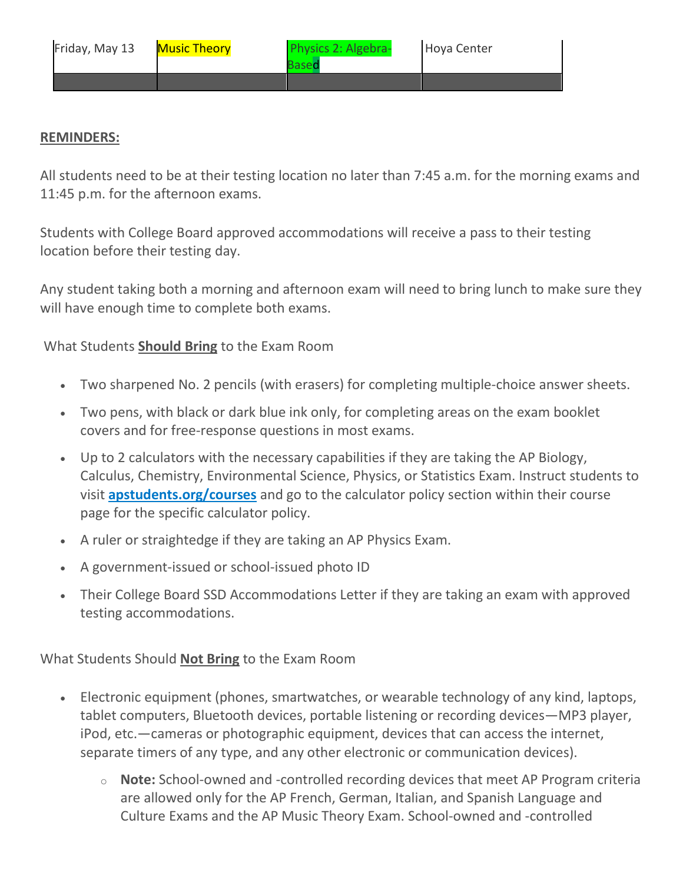| Friday, May 13 | <b>Music Theory</b> | Physics 2: Algebra-<br>Based | Hoya Center |
|----------------|---------------------|------------------------------|-------------|
|                |                     |                              |             |

#### **REMINDERS:**

All students need to be at their testing location no later than 7:45 a.m. for the morning exams and 11:45 p.m. for the afternoon exams.

Students with College Board approved accommodations will receive a pass to their testing location before their testing day.

Any student taking both a morning and afternoon exam will need to bring lunch to make sure they will have enough time to complete both exams.

What Students **Should Bring** to the Exam Room

- Two sharpened No. 2 pencils (with erasers) for completing multiple-choice answer sheets.
- Two pens, with black or dark blue ink only, for completing areas on the exam booklet covers and for free-response questions in most exams.
- Up to 2 calculators with the necessary capabilities if they are taking the AP Biology, Calculus, Chemistry, Environmental Science, Physics, or Statistics Exam. Instruct students to visit **[apstudents.org/courses](http://url503.cobbk12.org/ls/click?upn=QnVQymdXNhN9mB1Yo7ti6HzWEgkJB76rPptPQeZ-2F4QqAA0eV4rm2ei8Tnp3FmH4EhTfKL9rZQnkzQVb4zmcIdA-3D-3DiV8__W-2BfLYUoUwwI1tuGClKRhhPOSepcZIFoXnUIMjiA717kQ1i13BNQTwwJ9cl-2BWArXr6-2FDxoCbNFrRaplJKtN7fZ6FN9QvZUzEqAB9fOeZoTEgTLdCw6DCByjr-2BdLt0Ypb3Z4xdyzhpDvvHV3abm8duSC-2FGs9yL-2FyUO1awb0kM-2Fd0kWDs2HEhjIVA36yFhASEkXZiZk-2BkVSmjlamjwS2BLnQBN-2Ba86yDprnjPKjaV-2B0iZ-2FURtLtECZjIHl75jfDCK8DiWrYZ5R187JoVKNoU6CGQg-3D-3D)** and go to the calculator policy section within their course page for the specific calculator policy.
- A ruler or straightedge if they are taking an AP Physics Exam.
- A government-issued or school-issued photo ID
- Their College Board SSD Accommodations Letter if they are taking an exam with approved testing accommodations.

What Students Should **Not Bring** to the Exam Room

- Electronic equipment (phones, smartwatches, or wearable technology of any kind, laptops, tablet computers, Bluetooth devices, portable listening or recording devices—MP3 player, iPod, etc.—cameras or photographic equipment, devices that can access the internet, separate timers of any type, and any other electronic or communication devices).
	- o **Note:** School-owned and -controlled recording devices that meet AP Program criteria are allowed only for the AP French, German, Italian, and Spanish Language and Culture Exams and the AP Music Theory Exam. School-owned and -controlled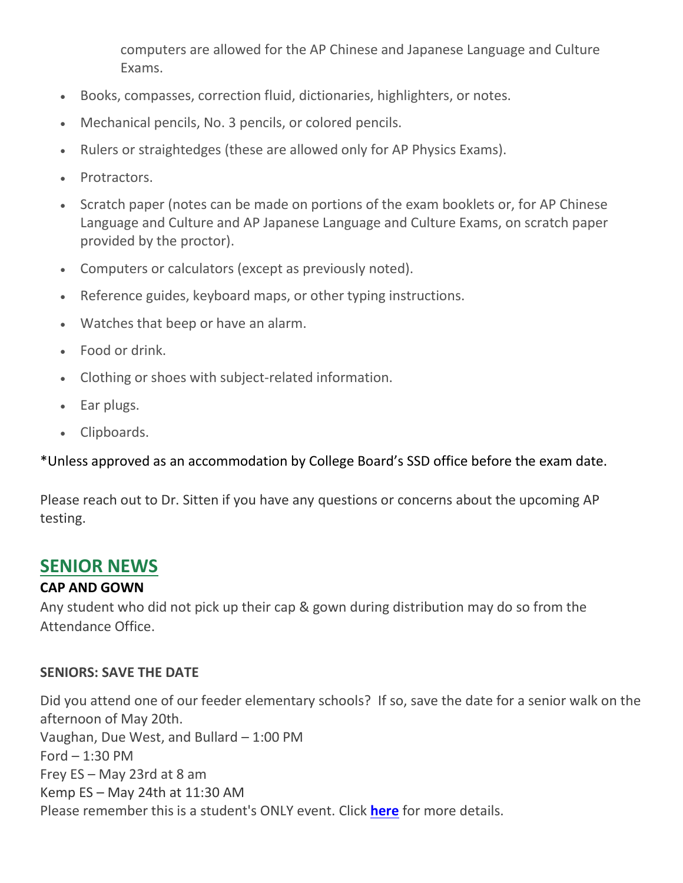computers are allowed for the AP Chinese and Japanese Language and Culture Exams.

- Books, compasses, correction fluid, dictionaries, highlighters, or notes.
- Mechanical pencils, No. 3 pencils, or colored pencils.
- Rulers or straightedges (these are allowed only for AP Physics Exams).
- Protractors.
- Scratch paper (notes can be made on portions of the exam booklets or, for AP Chinese Language and Culture and AP Japanese Language and Culture Exams, on scratch paper provided by the proctor).
- Computers or calculators (except as previously noted).
- Reference guides, keyboard maps, or other typing instructions.
- Watches that beep or have an alarm.
- Food or drink.
- Clothing or shoes with subject-related information.
- Ear plugs.
- Clipboards.

\*Unless approved as an accommodation by College Board's SSD office before the exam date.

Please reach out to Dr. Sitten if you have any questions or concerns about the upcoming AP testing.

### **SENIOR NEWS**

### **CAP AND GOWN**

Any student who did not pick up their cap & gown during distribution may do so from the Attendance Office.

### **SENIORS: SAVE THE DATE**

Did you attend one of our feeder elementary schools? If so, save the date for a senior walk on the afternoon of May 20th. Vaughan, Due West, and Bullard – 1:00 PM Ford  $-1:30$  PM Frey ES – May 23rd at 8 am Kemp ES – May 24th at 11:30 AM Please remember this is a student's ONLY event. Click **[here](http://url503.cobbk12.org/ls/click?upn=HU5K2q0Fz5ADTGboxPzOzUx-2FoxqvD40X8ef2vsqiBoK5Aluz-2B-2FV-2B0dcKM-2B-2BvT2tGXYAbR0DHQ-2BOcFspIPjcNl9reKXyQ8kM3d2p5MR2dgXTHGmUt0epyfSyD0aXmTuu-2BtMrSitMsCMBpnv-2FxQN8cfvt2NSVbKweijP2ITY4cVK9pBBLgmyPaypXH-2Bzd-2BPs7C9jQM_W-2BfLYUoUwwI1tuGClKRhhPOSepcZIFoXnUIMjiA717kQ1i13BNQTwwJ9cl-2BWArXr6-2FDxoCbNFrRaplJKtN7fZ6FN9QvZUzEqAB9fOeZoTEgTLdCw6DCByjr-2BdLt0Ypb3wVGA4q7P1Zc3DYu35Mx6-2Bo-2B9-2Fm0JXBCoIP3apOBe4XjlnQR8nY-2BNtqiRZO2TMguOd3AZ7-2BA6Fai7PmnUMRP8lAZpKLe2VwAf7hEiBzcsDthmiYahMoU85-2FeiIDxdlx25eiYyBoEO5dPVbZOJYUSa9Q-3D-3D)** for more details.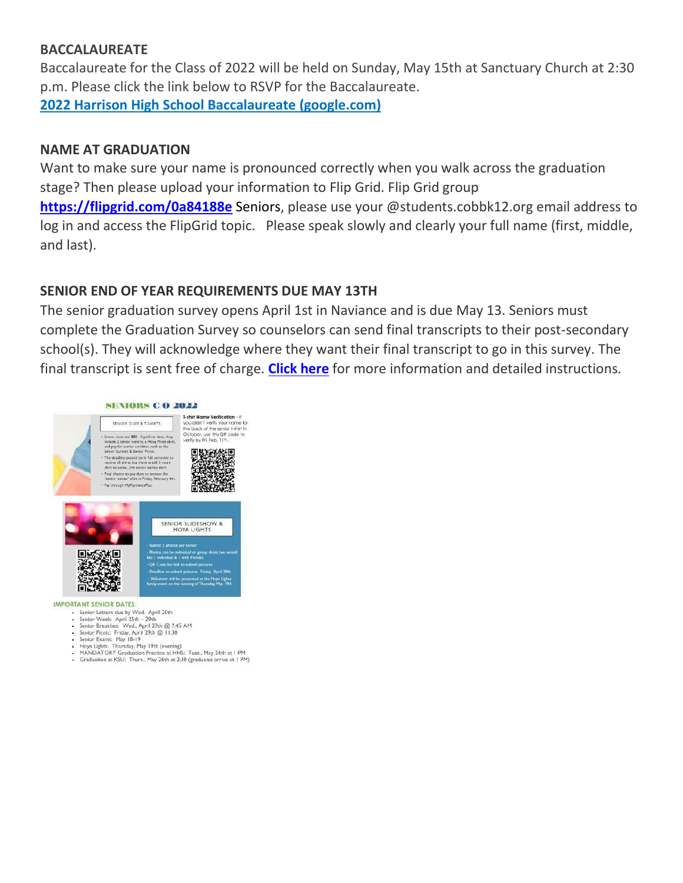#### **BACCALAUREATE**

Baccalaureate for the Class of 2022 will be held on Sunday, May 15th at Sanctuary Church at 2:30 p.m. Please click the link below to RSVP for the Baccalaureate.

**[2022 Harrison High School Baccalaureate \(google.com\)](http://url503.cobbk12.org/ls/click?upn=Q-2BKaVIKfS2AqG1NntRWXIqe3VLrAF6HtQZXW1Eop37-2BHD1-2FJeBI8RcsNCzxppcBz0DlAzN5HVHa4jFBsYhEq-2FZKWsB3iNtsHw4Z5XJqTGc72hmHzmKKg4NHOq-2FMdFS-2BPFAc8zjlc4srPGK983W1UhuE7AtcpCYQuQZZqYo-2BGQSjOkG72RVQYIvZnd8rpVrbWHTeiCPRGtFN57hPx9pAOJZTIJbtD139iVIIWTcSAFqGve9ScQyy-2BbeYusBODj0cqVLAblXcwFor-2FCB-2Fupw8Gx83PoxHLy526-2BQNcKEsNF9fKV1XIIMqYrDFwNOai6q9NjCTvw1MoiVLXHwsCXaLdQJW7Do0U26i9QfvjSLPDP28Mk7AOMbCIt7707-2FYneUiH861eoKWcregQDEcfFQbVidi9F-2FQpA3jC7Ii8Un6m6iKkzC9xrwVo36UWIi9XYqxlFQttSQ30dT9M6WFHpPHp0r1WFOf6Gg1dDK8EvbAr0sTJkqT6crDZtTJHY5pdzd4LPpoI-2BgcOVxwbAeRXvlKoAzk2uoDbcWxypEwBfgCms2EzDGCDhpInAoxYEBfqy4-2BwAM7h-2FDwk8vbTcWouHAIfn8Yt9KjxqGdP-2Fi-2BlVQiXvKQSoy4VzlVLGbSLytAquiql9jhZ1EcQKHxbGE6D2tKRpQ-3D-3DqJQY_W-2BfLYUoUwwI1tuGClKRhhPOSepcZIFoXnUIMjiA717kQ1i13BNQTwwJ9cl-2BWArXr6-2FDxoCbNFrRaplJKtN7fZ6FN9QvZUzEqAB9fOeZoTEgTLdCw6DCByjr-2BdLt0Ypb3lbLz1MHtMZCRyvlV9X-2BaCb3G6xuOiS6New4Kd8p2UVGMRNyEAYURJvF8wFhXPbijJzR-2BgmjM9vHsS3OkLiX-2Fac2FceyStgu-2F71Rl8qJMknMqBMtvkjx9suPnY267SxJqAY9whgGvJAEJUe4OQSEQ5g-3D-3D)**

### **NAME AT GRADUATION**

Want to make sure your name is pronounced correctly when you walk across the graduation stage? Then please upload your information to Flip Grid. Flip Grid group **[https://flipgrid.com/0a84188e](http://url503.cobbk12.org/ls/click?upn=kYpeu9rJVSU1acS4VG0V9dP8zXnygu7Up5qBE7usQ1gecV2TljFL8x98-2BlIBHTra483oT8HWv3BxbUy1y3g1YWHrQH0DX0eRwzNdJR-2B4b9dqruBNiAV-2FBwoG5u1-2BRTjtGdWhnranwNUsKmvfhiore0F4WG28ErQuPSBv4PmuQli4oKOl9Zb7CyPGSUwYsp4eVXI8uPnJB1ksmBTfTdiVtPDR54uVC8T5Bh1WNZaMlJiqTRKY6c5pASqP27OGciYyv8ehHXV8sXx04sjWTFHN9Mtk2CryjHcnW-2FdMcZrlG-2F-2FK1pjbHXoIi-2FfXFyeo1WncQxDG8r9m7yjpuue5pGVwpbdr5GM1I0ZKVWLtPPPQ8cmi7vwDjn7Sk7k6pJomplX6DsbsnlezSNcQdi-2BkmWhpknP7dvIy-2FCH2u4z6BXk1AOOrx2-2F7HgSEJg6ra6FQ8BL3o1UbiqIy8dPbdQVWdxEfgZOy8HbZb9uqH4G3kk9LCcM-3Dt-f5_W-2BfLYUoUwwI1tuGClKRhhPOSepcZIFoXnUIMjiA717kQ1i13BNQTwwJ9cl-2BWArXr6-2FDxoCbNFrRaplJKtN7fZ6FN9QvZUzEqAB9fOeZoTEgTLdCw6DCByjr-2BdLt0Ypb37LkgKkrrnXARQU25g-2BWb-2B0LLDTTnpB32dDpSP-2BKXfyOPK-2BolT6W3vGx1wDts4TcfFZ-2BBC5UCbWRTPwL0faZoZeb8LjOt-2F7odwZNQuj-2BPdSrIKbYAp-2Byr3-2BcltcuDPu41H5Q6JNl2Mai6Mh-2BJEcSxdA-3D-3D)** Seniors, please use your @students.cobbk12.org email address to log in and access the FlipGrid topic. Please speak slowly and clearly your full name (first, middle, and last).

### **SENIOR END OF YEAR REQUIREMENTS DUE MAY 13TH**

The senior graduation survey opens April 1st in Naviance and is due May 13. Seniors must complete the Graduation Survey so counselors can send final transcripts to their post-secondary school(s). They will acknowledge where they want their final transcript to go in this survey. The final transcript is sent free of charge. **[Click here](http://url503.cobbk12.org/ls/click?upn=HU5K2q0Fz5ADTGboxPzOzUx-2FoxqvD40X8ef2vsqiBoLQCWvugYev7fVF7I3y-2BdLP7NxqSqaQL-2FzdjeF9qOa-2BHyorUEcRHpWE7oEZmy11YSLzQMVFaHtJIWVJimXD4fMy-2BAlRVJaQAcAwnOlGPWAxv66CMFQuG5-2B7271ls9j1YIN-2FFtiSnIk93GkBdmdabCULIr_p_W-2BfLYUoUwwI1tuGClKRhhPOSepcZIFoXnUIMjiA717kQ1i13BNQTwwJ9cl-2BWArXr6-2FDxoCbNFrRaplJKtN7fZ6FN9QvZUzEqAB9fOeZoTEgTLdCw6DCByjr-2BdLt0Ypb3LpM9Izvb8Q-2FO2-2FdCA-2FDPbp-2BLVRfEHX-2FEnZpdjIAi1Qb73jh6uIrMehh8Jha1P88kY5-2BeanzznX6Rk9515CBZTuj8V7kMx-2ByzMFo6tC8X9SbqXvHkrxzyHbJbRZhHlkRlzdMzJSZXiZmf4ndoxJbqKg-3D-3D)** for more information and detailed instructions.



#### **IMPORTANT SENIOR DATES:**

- Senior Letters due by Wed. April 20th<br>- Senior Week: April 25th 29th
- Senior Breakfast: Wed., April 27th @ 7:45 AM
- Senior Picnic: Friday, April 29th @ 11:30<br>
Senior Exams: May 18-19<br>
Hoya Lights: Thursday, May 19th (evening)<br>
Hoya Lights: Thursday, May 19th (evening)
- 
- 
- MANDATORY Graduation Practice at HHS: Tues., May 24th at 1 PM<br>• Graduation at KSU: Thurs., May 26th at 2:30 (graduates arrive at 1 PM)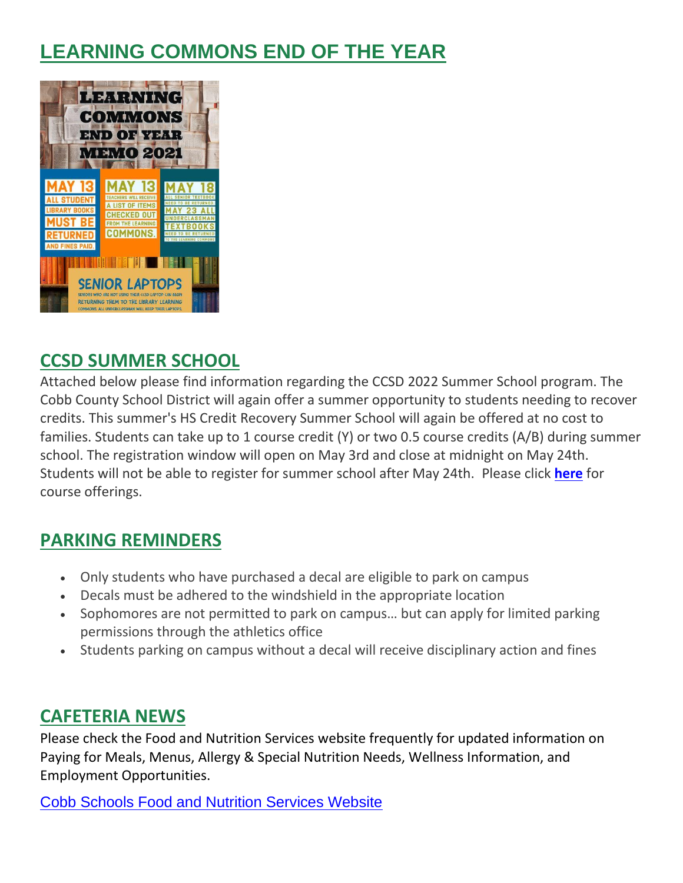# **LEARNING COMMONS END OF THE YEAR**



## **CCSD SUMMER SCHOOL**

Attached below please find information regarding the CCSD 2022 Summer School program. The Cobb County School District will again offer a summer opportunity to students needing to recover credits. This summer's HS Credit Recovery Summer School will again be offered at no cost to families. Students can take up to 1 course credit (Y) or two 0.5 course credits (A/B) during summer school. The registration window will open on May 3rd and close at midnight on May 24th. Students will not be able to register for summer school after May 24th. Please click **[here](http://url503.cobbk12.org/ls/click?upn=G8An3K6JlHsR8QtKBFuzdogXPJqD3Uz2QqY8s2OfxyiqQu8QiElyJT0XgwIDVlSVxcqBI2rN58KOWFd1RoP9KLM95tf-2Fvht8sYs55SNrALy4mpWYIlZTDgjLu6H8CfVq0zQ7OcKhmhX24puMqws88bhzDXDNNgCwJtiQgYHoQeI16cazgc-2F-2BCTtnqb2N-2BkzQYHnJS2GcNOBvYDMLsfO-2BWlDoAOvq0cwYQ4Js-2FEuam8B6ZPWLQ773SRP-2F3-2BgYb1FpQO4TtvMLYcpr28rNECdiIMX2bWhcXkkMpRt5ktH2Bt-2F3CXAXuG03jezeIy-2FAuHftGp81jdSUc4QEZex16-2F8vbYMtkLPazMGnEum5Lmza8kxCaydaIH9J3CSHaFX02I9CQ-2BjVga3L9gv-2Bmh63wyASJ5hJ7TyP7-2F-2FjICc5HB9YniVPBii-2BmWmQsFhQMcd-2BjEZ3KSh5PvEX1CPwEAIciLitcrElQzkX3bOzTMEbU6FPAt5OepPEXtBTLxcnO0rIEVtivcNQSIOpI12OuQ3oUFWhu-2B6q1U-2Bqkju8MKbISHLiF8xNaxwrmkYJGQitAbqk2offK1bBe0l1tiP8DZD-2FateVrBZBOvUS83bJGK1a5lcdz-2F0-3DhO9R_W-2BfLYUoUwwI1tuGClKRhhPOSepcZIFoXnUIMjiA717kQ1i13BNQTwwJ9cl-2BWArXr6-2FDxoCbNFrRaplJKtN7fZ6FN9QvZUzEqAB9fOeZoTEgTLdCw6DCByjr-2BdLt0Ypb3C4Zpw7hfajUvH3lEKgAPH6AwIRX9wf3S4KUWhh-2FlngQ0KsWYZ-2FV5BPR2w1Io83RTa7yw1mDQPz4E92v9otKSjNsfDEIFYy6taHYZdWCDuAM1c1V8Xa1ABOwmqo3jdBz61yUIVLTmwUOV5GKKq5YO-2Fw-3D-3D)** for course offerings.

# **PARKING REMINDERS**

- Only students who have purchased a decal are eligible to park on campus
- Decals must be adhered to the windshield in the appropriate location
- Sophomores are not permitted to park on campus… but can apply for limited parking permissions through the athletics office
- Students parking on campus without a decal will receive disciplinary action and fines

# **CAFETERIA NEWS**

Please check the Food and Nutrition Services website frequently for updated information on Paying for Meals, Menus, Allergy & Special Nutrition Needs, Wellness Information, and Employment Opportunities.

[Cobb Schools Food and Nutrition Services Website](http://url503.cobbk12.org/ls/click?upn=kYpeu9rJVSU1acS4VG0V9dP8zXnygu7Up5qBE7usQ1jRmGDEuj6uzT9FPcnvQys9X5dnPemZru5Ni9W9eLDPVYCMFOqeP9qpwdpInnq0B-2B85Pnvvf95sM3pV11jm5VaJGEJvAtpb-2BAol1iMoX0JCrJK5P6OKolyE8avEok22tlB4O5-2FquESvx5ek-2FrswCaIhodJHX4M-2BKaYpaA1tXWrV7pdyfi6nHzXmH-2FnsIxy5uKjBiMT5eukUonPWLiuAxz-2FGJOw1bFqTtkcweUclAxkPRQz8ycoosBl3d-2FWayeSLfTrLhYM2Ny9Q-2FVfLpJEWBKH7wg6OVA7xFSz19SOmaG6-2BkhbfaDXH9qpSlxsPGgB4g50k204ZVBVFnjl-2FFsDwGpHy7cnQ7TndxRlHL8eXhHNLe2PT-2BNXbID3dgcxauCn9QnoijMTvXsPIKupOS5xzMwOM109ywvPp9aqGBcqij9LW57IeH5JTK8weqcOZW9zJdsG-2F8YGy-2F6GbHAk14rRwLUgdUram6nl3gpWHTaWP787BedmRXUGj68oiLlddYQWVyuG1WhAxgkd59k2M5yxDzMiAHMyU_W-2BfLYUoUwwI1tuGClKRhhPOSepcZIFoXnUIMjiA717kQ1i13BNQTwwJ9cl-2BWArXr6-2FDxoCbNFrRaplJKtN7fZ6FN9QvZUzEqAB9fOeZoTEgTLdCw6DCByjr-2BdLt0Ypb35-2Fu48AKTTfcs1RPWO2nzylhQLLLH15GL0r3wa4w-2F9-2FjVpBF7bVoMRl1jScBCK5GChinuQQx8nOdLZLFjyV5hWKKIpPjrIC9ViIA71HLHArK1GLWWylaoK7qsDH4YTMWfDtsDBaUbaA0Fs42WkLgYBw-3D-3D)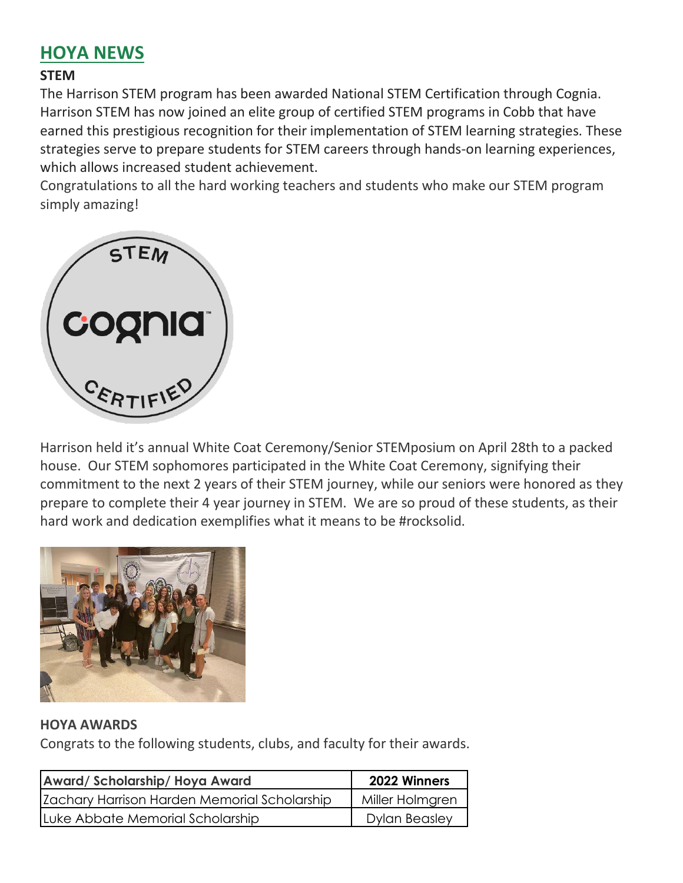# **HOYA NEWS**

### **STEM**

The Harrison STEM program has been awarded National STEM Certification through Cognia. Harrison STEM has now joined an elite group of certified STEM programs in Cobb that have earned this prestigious recognition for their implementation of STEM learning strategies. These strategies serve to prepare students for STEM careers through hands-on learning experiences, which allows increased student achievement.

Congratulations to all the hard working teachers and students who make our STEM program simply amazing!



Harrison held it's annual White Coat Ceremony/Senior STEMposium on April 28th to a packed house. Our STEM sophomores participated in the White Coat Ceremony, signifying their commitment to the next 2 years of their STEM journey, while our seniors were honored as they prepare to complete their 4 year journey in STEM. We are so proud of these students, as their hard work and dedication exemplifies what it means to be #rocksolid.



#### **HOYA AWARDS**

Congrats to the following students, clubs, and faculty for their awards.

| Award/Scholarship/Hoya Award                 | 2022 Winners         |
|----------------------------------------------|----------------------|
| Zachary Harrison Harden Memorial Scholarship | Miller Holmgren      |
| Luke Abbate Memorial Scholarship             | <b>Dylan Beasley</b> |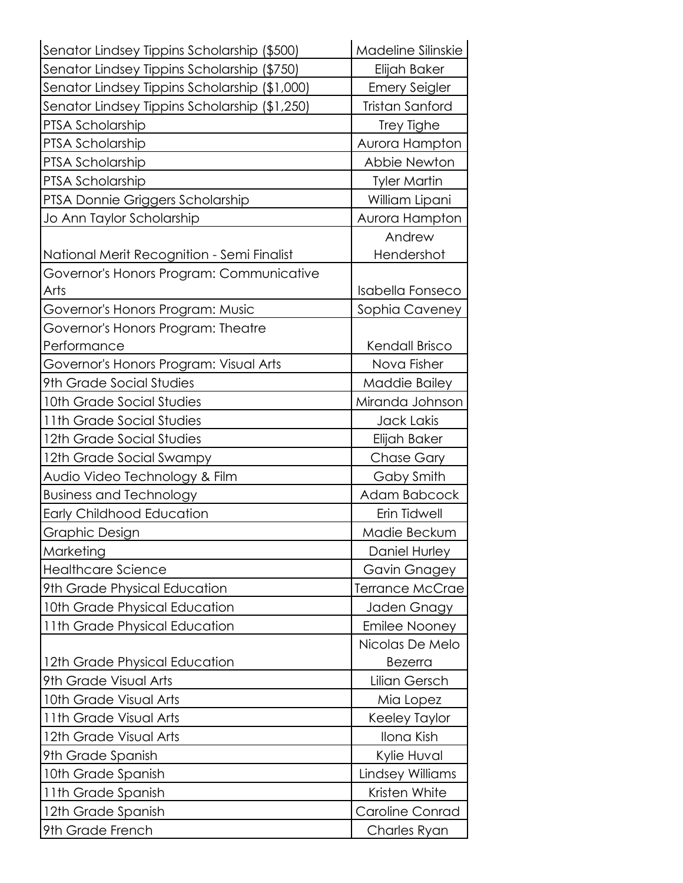| Senator Lindsey Tippins Scholarship (\$500)   | Madeline Silinskie     |
|-----------------------------------------------|------------------------|
| Senator Lindsey Tippins Scholarship (\$750)   | Elijah Baker           |
| Senator Lindsey Tippins Scholarship (\$1,000) | <b>Emery Seigler</b>   |
| Senator Lindsey Tippins Scholarship (\$1,250) | Tristan Sanford        |
| PTSA Scholarship                              | Trey Tighe             |
| PTSA Scholarship                              | Aurora Hampton         |
| <b>PTSA Scholarship</b>                       | Abbie Newton           |
| PTSA Scholarship                              | <b>Tyler Martin</b>    |
| PTSA Donnie Griggers Scholarship              | William Lipani         |
| Jo Ann Taylor Scholarship                     | Aurora Hampton         |
|                                               | Andrew                 |
| National Merit Recognition - Semi Finalist    | Hendershot             |
| Governor's Honors Program: Communicative      |                        |
| Arts                                          | Isabella Fonseco       |
| Governor's Honors Program: Music              | Sophia Caveney         |
| Governor's Honors Program: Theatre            |                        |
| Performance                                   | Kendall Brisco         |
| Governor's Honors Program: Visual Arts        | Nova Fisher            |
| 9th Grade Social Studies                      | Maddie Bailey          |
| 10th Grade Social Studies                     | Miranda Johnson        |
| 11th Grade Social Studies                     | Jack Lakis             |
| 12th Grade Social Studies                     | Elijah Baker           |
| 12th Grade Social Swampy                      | Chase Gary             |
| Audio Video Technology & Film                 | Gaby Smith             |
| <b>Business and Technology</b>                | Adam Babcock           |
| <b>Early Childhood Education</b>              | Erin Tidwell           |
| Graphic Design                                | Madie Beckum           |
| Marketing                                     | Daniel Hurley          |
| <b>Healthcare Science</b>                     | Gavin Gnagey           |
| 9th Grade Physical Education                  | <b>Terrance McCrae</b> |
| 10th Grade Physical Education                 | Jaden Gnagy            |
| 11th Grade Physical Education                 | <b>Emilee Nooney</b>   |
|                                               | Nicolas De Melo        |
| 12th Grade Physical Education                 | <b>Bezerra</b>         |
| 9th Grade Visual Arts                         | Lilian Gersch          |
| 10th Grade Visual Arts                        | Mia Lopez              |
| 11th Grade Visual Arts                        | Keeley Taylor          |
| 12th Grade Visual Arts                        | Ilona Kish             |
| 9th Grade Spanish                             | Kylie Huval            |
| 10th Grade Spanish                            | Lindsey Williams       |
| 11th Grade Spanish                            | Kristen White          |
| 12th Grade Spanish                            | <b>Caroline Conrad</b> |
| 9th Grade French                              | Charles Ryan           |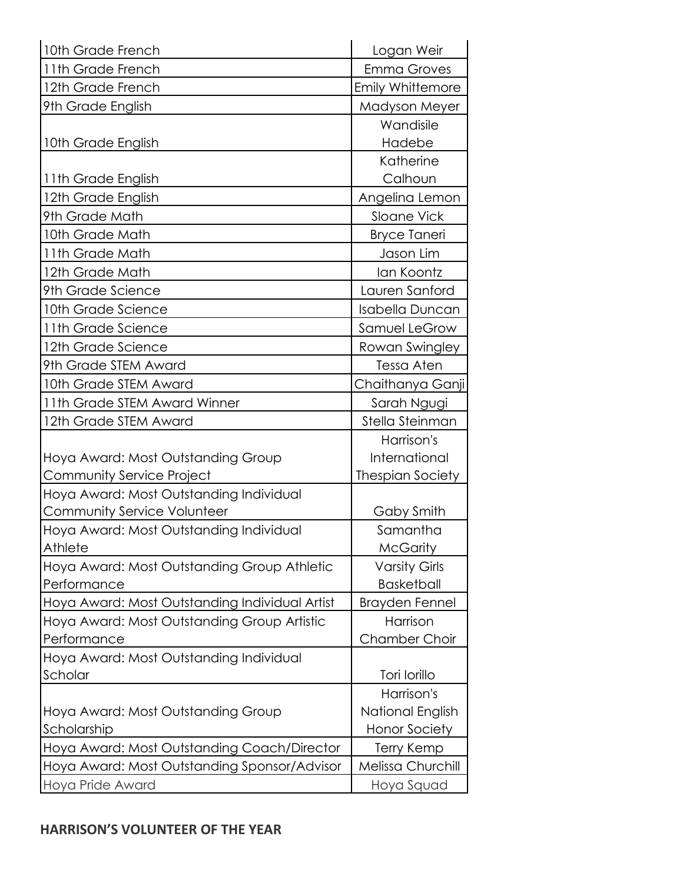| 10th Grade French                              | Logan Weir              |
|------------------------------------------------|-------------------------|
| 11th Grade French                              | <b>Emma Groves</b>      |
| 12th Grade French                              | <b>Emily Whittemore</b> |
| 9th Grade English                              | Madyson Meyer           |
|                                                | Wandisile               |
| 10th Grade English                             | Hadebe                  |
|                                                | Katherine               |
| 11th Grade English                             | Calhoun                 |
| 12th Grade English                             | Angelina Lemon          |
| 9th Grade Math                                 | Sloane Vick             |
| 10th Grade Math                                | <b>Bryce Taneri</b>     |
| 11th Grade Math                                | Jason Lim               |
| 12th Grade Math                                | lan Koontz              |
| 9th Grade Science                              | Lauren Sanford          |
| 10th Grade Science                             | Isabella Duncan         |
| 11th Grade Science                             | Samuel LeGrow           |
| 12th Grade Science                             | Rowan Swingley          |
| 9th Grade STEM Award                           | Tessa Aten              |
| 10th Grade STEM Award                          | Chaithanya Ganji        |
| 11th Grade STEM Award Winner                   | Sarah Ngugi             |
| 12th Grade STEM Award                          | Stella Steinman         |
|                                                | Harrison's              |
| Hoya Award: Most Outstanding Group             | International           |
| Community Service Project                      | <b>Thespian Society</b> |
| Hoya Award: Most Outstanding Individual        |                         |
| <b>Community Service Volunteer</b>             | Gaby Smith              |
| Hoya Award: Most Outstanding Individual        | Samantha                |
| Athlete                                        | <b>McGarity</b>         |
| Hoya Award: Most Outstanding Group Athletic    | <b>Varsity Girls</b>    |
| Performance                                    | <b>Basketball</b>       |
| Hoya Award: Most Outstanding Individual Artist | <b>Brayden Fennel</b>   |
| Hoya Award: Most Outstanding Group Artistic    | Harrison                |
| Performance                                    | <b>Chamber Choir</b>    |
| Hoya Award: Most Outstanding Individual        |                         |
| Scholar                                        | Tori Iorillo            |
|                                                | Harrison's              |
| Hoya Award: Most Outstanding Group             | National English        |
| Scholarship                                    | <b>Honor Society</b>    |
| Hoya Award: Most Outstanding Coach/Director    | <b>Terry Kemp</b>       |
| Hoya Award: Most Outstanding Sponsor/Advisor   | Melissa Churchill       |
| Hoya Pride Award                               | Hoya Squad              |

### **HARRISON'S VOLUNTEER OF THE YEAR**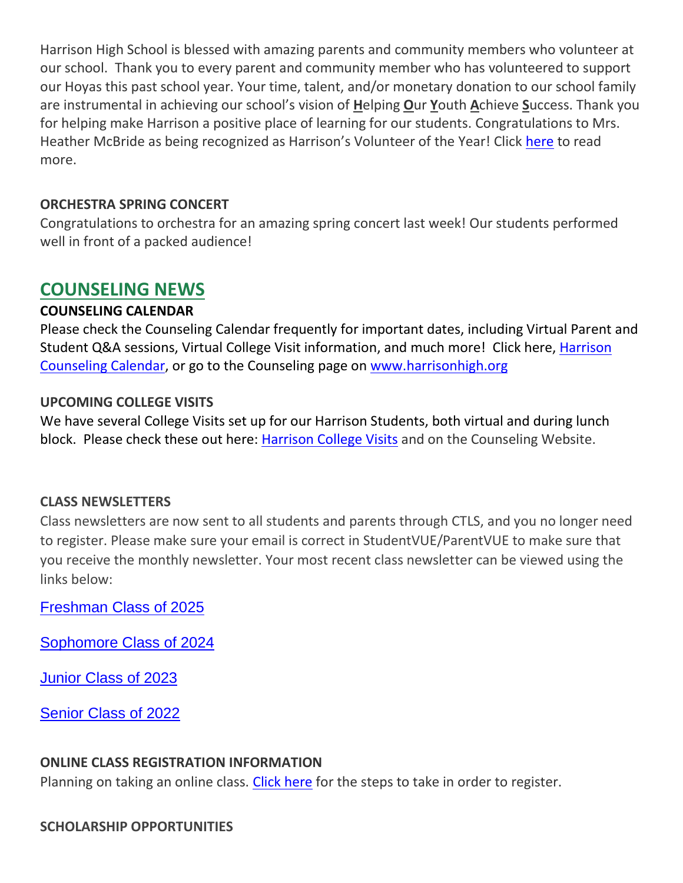Harrison High School is blessed with amazing parents and community members who volunteer at our school. Thank you to every parent and community member who has volunteered to support our Hoyas this past school year. Your time, talent, and/or monetary donation to our school family are instrumental in achieving our school's vision of **H**elping **O**ur **Y**outh **A**chieve **S**uccess. Thank you for helping make Harrison a positive place of learning for our students. Congratulations to Mrs. Heather McBride as being recognized as Harrison's Volunteer of the Year! Click [here](http://url503.cobbk12.org/ls/click?upn=oq5wnnHoD1NAxpT8rNAGXKJklnkFHeuwDenPlph52sJnPmC-2FvH2teMmUqlyqa09n6-2BsYY2tUo-2B-2FTS8TPZhimJA-3D-3DE1Ge_W-2BfLYUoUwwI1tuGClKRhhPOSepcZIFoXnUIMjiA717kQ1i13BNQTwwJ9cl-2BWArXr6-2FDxoCbNFrRaplJKtN7fZ6FN9QvZUzEqAB9fOeZoTEgTLdCw6DCByjr-2BdLt0Ypb3YJWCesowg1W9Scynb1ythWAzczMhxfgcUDfdFTU-2BE99VppqJL4KKjSrQDHpmjgr6M-2F2NYqn-2FxXbeJNetr-2Bx33vVV-2FxwbKW5CRroGBN0BE7x8F-2BD0Hhg1l-2BLAr4RhBeoGp4NlEi-2BMoNb3eZR8D0Aiaw-3D-3D) to read more.

#### **ORCHESTRA SPRING CONCERT**

Congratulations to orchestra for an amazing spring concert last week! Our students performed well in front of a packed audience!

### **COUNSELING NEWS**

#### **COUNSELING CALENDAR**

Please check the Counseling Calendar frequently for important dates, including Virtual Parent and Student Q&A sessions, Virtual College Visit information, and much more! Click here, Harrison [Counseling Calendar,](http://url503.cobbk12.org/ls/click?upn=kYpeu9rJVSU1acS4VG0V9dP8zXnygu7Up5qBE7usQ1igGUwZrC6XsT-2BeJUHvB2X-2B0TsDWPPid3SY5dOGZDm42n-2BiKBv1q7RGP37qncUjoK7l9Uj9Qwi1DO0s8aB6P9BNWmAeI3prXLeYz9YS0Ndg-2BqyIE5uw31QDIpRsWkny4f6VyTYKyVFcaq5yUkom3bHRSE6zUO-2FdFqc88d4M8vxAslRze6MrNJmorOLMfogJMzBoOg2uqaLjvBVnrqwiuXa4-2BfqSyCs89mlOWuOFD9a1mZNkDj8lrCUq5cPeegD-2Ff6xX1w4bDjD-2BLNfgxsNq4w7qSlnsCpsPZZTvoU1kTJ3pjn5P3us63f30mqed1KxXvMHgCR9iz4ASXStaWM0KfgAqWImOog1qNURd7eJjBZiABRtG-2FPqEnskonuuO-2FrYRbydLPv55IgVwY6cLpRaZG30T3flv1AmL7ecgaLDffy4Yzx3OjRI696Cmw5ZMjiWXyZlU8I1InadLAfbvVf7Zi-2FKsA20PU4S7T-2BEyQKOu15DCVmpS-2F1-2BhAVrc4lg8QxhCYSCSNcO2wj0VSEmChgoLHBgdhfZaAnphsniE5yZT-2Fs1OMTcduUiassCDw4MOp9jWc0EKRAne0FuDFuRBg63wnT1xBCpZHL3cG444JKaenweyxZjxBVTyIzonuX-2BXF1zzdtk-3Ddj4O_W-2BfLYUoUwwI1tuGClKRhhPOSepcZIFoXnUIMjiA717kQ1i13BNQTwwJ9cl-2BWArXr6-2FDxoCbNFrRaplJKtN7fZ6FN9QvZUzEqAB9fOeZoTEgTLdCw6DCByjr-2BdLt0Ypb3VSB2kbpdfStMFdtQOvWZx-2FgfZbYC0gYpouyCNYWRcg7qj7Wc5CelRD-2BZfUcc7GDaq2Soz25-2B8VjpjnUM6L6DTZxtosBZwj3KHw-2BU0caCFsAAf23TEtYDSpKI-2F1-2BYBw9CeGEXrxTQmcHpZbqcT5WoEg-3D-3D) or go to the Counseling page on [www.harrisonhigh.org](http://url503.cobbk12.org/ls/click?upn=kYpeu9rJVSU1acS4VG0V9dP8zXnygu7Up5qBE7usQ1jRmGDEuj6uzT9FPcnvQys9X5dnPemZru5Ni9W9eLDPVQv1nlgJlEhuH604nAqSD3OqQyibnj1RQKG7Z6j9pc6CZrfICxky6qrwNjgYWPheCkm6k4L-2BDzJCdILA-2BvlBxuU6-2FstGGVmyFvSHanPqOfZsT1-2BL3UhGsHYEVqOOnfgAUjfRt68a6fQJN0cYLwnbGK31NDrebYRfqYLY4tGsE-2FNCmpru7JAcyIPxhC3dt7Pr-2FBka8wbKrAcSDd0KGycPCijk6OFq8h6cVosK7WE7pB6gKk-2Bg76-2ByiHlkA0xo-2BC91rFbDrHLSQosAupXubGFX9jlmyDp4Xh9LB6ztKkB4Wpmy4t67PLnCg-2BoP77reRMQPX-2FhNJdqYAUxb-2FogabQyFSCtTgUCQ5inm7ZQPd1OVfWq5CEO4fOHd0lh120pz065GYp-2FDGoH8fn4X6fLKM1QQnWw-3D0QjU_W-2BfLYUoUwwI1tuGClKRhhPOSepcZIFoXnUIMjiA717kQ1i13BNQTwwJ9cl-2BWArXr6-2FDxoCbNFrRaplJKtN7fZ6FN9QvZUzEqAB9fOeZoTEgTLdCw6DCByjr-2BdLt0Ypb3mHSBFpRuKSF1YH6Zu9qZvsgAawbDtdk5AWsK1qCo-2FvljBWZ5RTqLUKi-2F0mbrGPbQezH1XdsVGnEf2W2v4MyPlZCqPSf5oFlbrart8mY3MnuUa3ZsJxgDWkzbBqtx1SnpwlN1NNDjfxjQeypm-2FctoPg-3D-3D)

#### **UPCOMING COLLEGE VISITS**

We have several College Visits set up for our Harrison Students, both virtual and during lunch block. Please check these out here: [Harrison College Visits](http://url503.cobbk12.org/ls/click?upn=kYpeu9rJVSU1acS4VG0V9dP8zXnygu7Up5qBE7usQ1gjJ2KuMFhtfI2x-2Ff4v7Mfrxjo-2FzJAMzmBp1pISxXOAxaTI-2FtsKP50Bsk89nbXR3XIbSbBwhOYAopZKGB7qKoJ4CMPV3cX7W6LCqmvfUF9gdtey6zL6-2BlKMD-2FYSGM0xVXZYLWmk-2Fgr-2FUDCPQc0z1l7-2BKnWcv0JSHtPzMFy67hr24iANfSQniyX-2F4HSDur9tNwfamJ13wrpuGeWpq0jXwgGozQUh7m0xIWlBdwVvQWcLkXUNeUlxl5bgxdaM1qg1MFJTOv9svJRlj32E73MXtiBwKOqa8k90vKhuMYJUoxHnYZi71Rh-2FYFWoTgbhs05mTkXj76TBQ-2B2he-2FUxtkW-2BaylJt51CyThypx12E5BlXyf4WxEjMGpHPoCyXdP3yJDCCUy5MhCt8gCd1da7pqGDG3PxG6c906KntXIQBykT96qfZMdUGKYs2FWO5ZcagUBmn2oquQEry79o0unjFs-2FZSuHH4R6MoWlAUXvXgqikHZgK7b7sJxw-2BQElgqiD4i6tWtqGjoWWDeNPthcAo-2FMJzh5WXFwF-2Bkm77vqL6DbFxONPlcyH8qry0eVy0vympktKptuvFRI9iTl611zcKEPUDr1AqHGTGQuM12UrZc5F0QkbMs025H796hUrMMy357OyTq6qEFo-2Bo-2FHdAxkTX0cU1pL1yiwNT18q4xx3aFG0uVjIP1GBS6TYGRf62kfO0yzk2COxxoW4xV0yTNBCO-2F77Ypt8a63bYJxd-2Bemy-2FyJsPvF7GrQYsKOZMzpqJ78jJhXycRUuBezBYHnMrm-2B98Hue25VOTZoBeSqUgWlzZgvo-2BTnWmffZqv0mZn0SvvCyzp1AKNSOcW5SuAep5S7Knmlntbnd4K3Gt3sIrCrELqxEnq3ksk-2F-2BkLCKsL64gwqJy3SFU1aaIlrQG29NnUmXQH8ZUSoRRlMCycIcKVws0AibG39eTBqbGLihInFzvpX3X3AfAWBUMMjgiDJ-2BfLE1v40ngOBD0-2FUwb2XxQnZWN6DQLTXJ85wht1tg05Kt1tg8ctbdrYSOob4ZIrh6RpdG5Yp4HcTSbs-2FaJQkjc0nI0Rpn0ZXZXjablREYX8u-2Bzrcn4qiP2e0k5StGmIH4nMw8LTQkYYY5tvo6UDIB8nV2fdOJdZQEVElNJzH4109cK8IYusIImISt2dHANgtk5pK63rwyslPAq979XTNwJb0s5hZFbnq4wmWvqdz8-2BMx1hhiC76fOnjjBka0A5ilOSr4X83RwGGHRoEZbPajmEX3lhOzr0HxNkyYK4-2B0FKbMqwbZjICQCt4Ppoh80pRcfSee66vchJVepZlDlDOZlQWTO-2B5ltY-2FnwfXLI5FnrsWi9mt6-2BPz9ecdabghdp1tAAQaJEkKTrG-2B8bsKZx53S9UI-2FR-2FwXJLahtGFaEva-2F8XBmo47KJG7ssY3bw-3DTdED_W-2BfLYUoUwwI1tuGClKRhhPOSepcZIFoXnUIMjiA717kQ1i13BNQTwwJ9cl-2BWArXr6-2FDxoCbNFrRaplJKtN7fZ6FN9QvZUzEqAB9fOeZoTEgTLdCw6DCByjr-2BdLt0Ypb3-2FRqWQK2OYeHkDP6LxWM2ecEe90cgyehIJFO20ojU-2Bj-2FypDpLzhsbtISogjqG6lljSUXNcSwz3-2B2OF-2Bcgtl0bBqMLGJk5T1zQMz4BwM8GVJFujLne1o2nDgfiNVF-2BM6-2BAgqyyMaS-2FxqvcPRq-2FVapsIQ-3D-3D) and on the Counseling Website.

#### **CLASS NEWSLETTERS**

Class newsletters are now sent to all students and parents through CTLS, and you no longer need to register. Please make sure your email is correct in StudentVUE/ParentVUE to make sure that you receive the monthly newsletter. Your most recent class newsletter can be viewed using the links below:

[Freshman Class of 2025](http://url503.cobbk12.org/ls/click?upn=kYpeu9rJVSU1acS4VG0V9dP8zXnygu7Up5qBE7usQ1gjJ2KuMFhtfI2x-2Ff4v7Mfrxjo-2FzJAMzmBp1pISxXOAxaTI-2FtsKP50Bsk89nbXR3XLeXw5RieC3J5OQl8P6Ni6XYZkiz3XKqcGBFqq-2B20D-2BQZjEm9NMWIizgIzZta4OdUEVghphitKr9LZ5IYb-2BJtu-2BJpiyISx12hf8AMFUyDeE5rB0yIOeF4d7FWHWRlx8gnfZyw-2FvxD5FKq0Lyn5zpD0wPLCd2sw3GV9owTfkLXvEqullP6ciO2oiqEP02NOe39sunmwDr7EKYctCRKaudJfyCw-2BVWFHSZbM6igeLAv2lMSqPZ2zoyP4UW8b7er5v9XbqCawi1WrZS0nH4mQNtpOVSX8xoAIieu6NfsCbgotAv9LfWk9EaPhZdkL9skp6V8Ylw-2B-2Fhf-2B9CKIJcqcdWeImA9FXC38bD0XpIAbsm6LcUqPv31iArlBoP51k3PnPIwNEPkgjDcLSj37H-2Byq3k8PfBZcSbHfYP3KpDtKZ0Ms1M2YTKpT0WAXD4iNQqpLxkcxUd7Xl-2FZp9tqhz1TW1XLNSJu64FQmhzzvL1zUQnx4WZ6Z3ApezgCl51y8N-2FREuldc-2FHj0LyN-2Bj2DFty8ykFFaim5ErMk-2FvFLDTFvAzdrLR-2Bn7Xp3s-2FcAXvlDIIfkGtq4aQspdgBOVXRjpdOReb6oFCxmdHO4NfATp-2FJke3xR8wyltYoQlgqaNxazuvg42PcHK6r97O534K-2B1UpEpie8fN1FuBN1YzrISB-2BynY5k27MmMY0KMimkzrqSitZAAdC-2BaKxZD8a-2F-2BnTg0ql1Oy6abtYYl6fHOez1FB3WJzVMClPne1sJW1kgl4fehqlKsjUmitLe9J8M6RQ0vAsHeTSrOlRQSCjY4-2F-2FD6ltgjugLem7QzY-2BMJ1xgHPs-2FQiRgRgyVb2PDHc4cu-2FU245Ut0Je5dX4l7-2BKfov8kpJozVjUqZMwtyA0P92pqfRVU0MqypcELRa-2B-2BKyPbYIFWyBWqAvUeulSdyftKZgZr9Sl6GkkkoLgt0wsDikWyiSA0OpSqbou8iRus1vSZnnvtcUsQYQ0vMuGamGHY1ONTFfHxrc9Fk8BG4MUOjdvgalSwniCyUaQ3vZzDBRcLLvhEfO02iKDe-2BjQu5LoxrBhHYc1AUdUaE52gAhaNqqrokXxjs8dnNtDODOM5gefUgTF25R49P-2BIFhR1olKMr-2Byo64PQIbLfM4JJ3PbKWD3cNZxWB0GmOX31Abe3E3bxGmRYwrxZZq-2BKCo-2FQ8URqJ_W-2BfLYUoUwwI1tuGClKRhhPOSepcZIFoXnUIMjiA717kQ1i13BNQTwwJ9cl-2BWArXr6-2FDxoCbNFrRaplJKtN7fZ6FN9QvZUzEqAB9fOeZoTEgTLdCw6DCByjr-2BdLt0Ypb3p0sbq9gNjEROAdYkppAOyDcDxmwMllXhwuGRtGe-2Ffxhr5AYrJeW77JLNEL2BowITXY7RGDUmynM-2BNHscF4ZycBx-2FP-2FVHYRjiSfVZ7XTArQ3gVIasYedNglmAxoYKfldtNXzxhwGGpBgNiamrpwbN7g-3D-3D)

[Sophomore Class of 2024](http://url503.cobbk12.org/ls/click?upn=kYpeu9rJVSU1acS4VG0V9dP8zXnygu7Up5qBE7usQ1gjJ2KuMFhtfI2x-2Ff4v7Mfrxjo-2FzJAMzmBp1pISxXOAxaTI-2FtsKP50Bsk89nbXR3XLeXw5RieC3J5OQl8P6Ni6XYZkiz3XKqcGBFqq-2B20D-2BQZjEm9NMWIizgIzZta4OdUEVghphitKr9LZ5IYb-2BJtu-2BX6-2BwvmDdQb1o9RJfCFCmipUMB7em12BmWo0WKF5hgnpLZDNMjkWXOCkz3cPWuehWSXCFM7FxqKa1UTFEzddIZMxekfNDIVGnflRq7CrGOT8RWo57v2k9OOAmrvbkY6Aa6Tu5Xap-2Fw-2BSiz-2B12Lx9kHoPABjMxjdZLRm-2BX2oo9v9FZnGx-2FAinW8szwI3vc6S-2Bql-2Fu-2B5gfsvAf7e-2BfmpssxETv0jK84rC4wZLYRdnqnf2zFHT5hc0ITZd5pWmWCO1dGGbVv-2FmXUujq-2Bu5-2BioPxEwKJlaoLdWF99PqJJX2CQpxoIbLalUP75b1ZqMPJBF8HqjN-2FxUf-2BSDyW-2F9O-2Bwo2Hmv51-2FEi8pToQKh7DtcI7-2Fx3Svwldy4YWQFbdj1yHRX8AsdTRb-2Fucxg3t7Ich1mi9lY3Dz-2BdD8t9vgyl45dCfNUWYICIBvXh5kPiyBrixH5fMG1iaO4v1qstuC4ng5ox4HVxN0IEYXlogJF1wYJIn8sK7Zb1q-2FgV6rVCfS66vg3j5OLrUSfUzfc0dy-2BXMeH6pXhp0Ev9YHiIJk7iI4mjqze1Hfe3lMspLgoHtiqfZ57QCGIjx7hzzzVEha1YLXMl6xRS-2FPxu-2B0KDz-2FKmAfBRnAtcaz9791nsBXX55rMSpvuR6inGOXCeZjc10r-2B85n1NDgwDVxl78-2BCFcoZtOsK-2B-2Brf-2FwBnk36yt419A-2BkeFtg7fejKKYkm07egOfEYBlDL4gM0FhFZt1m-2FFS4f8RDWi4usQLUdi9KOc-2B1fPzmXg-2Fea90LcDF8E3KZ-2BZJ3-2Bk98apCHvyDvDS3owsQ0VwR0OpTq-2FGn-2BOdsJagZvaFygXTWN9dtCo31HW00Om7LjpF9jnyCzOfopf-2B5BpXXGtrpL6SljZrnCs3GK-2Bs8JZrm9C-2BuRcPTV9MbsoQVqHnz4d-2BWxLtXDRYcZwTYi8x6k3-2FxIVrwm7u5unFqDx5OY77lzffrB3lIU5HMeVG1UsZeiLy6TvgIbG-2FYJKSpiILiKtt1-2FfF8SE8QEIwSo22NCZLyrugsxty7vMg302m7-2FUspLJkKhD1-2FFv4LRiXLIwIMIGHq-2BIULi-2FT3c-2B34-2B8RXWffsbWyJMj0yq6WZI_W-2BfLYUoUwwI1tuGClKRhhPOSepcZIFoXnUIMjiA717kQ1i13BNQTwwJ9cl-2BWArXr6-2FDxoCbNFrRaplJKtN7fZ6FN9QvZUzEqAB9fOeZoTEgTLdCw6DCByjr-2BdLt0Ypb3BwVeliMuV4VOA2lwph0iYR3ORGzxglS-2FbpiopIuY-2F39HUaSvDajIJYXEGHQlHN4JQrp4-2F4-2FpuE9FzNBnSadAeKKwvaEQpP1CDuSXvv856GEprAg5ltjsXTyJVagifKfw0y-2BhLlCTppgLRDapAS-2BUmg-3D-3D)

[Junior Class of 2023](http://url503.cobbk12.org/ls/click?upn=kYpeu9rJVSU1acS4VG0V9dP8zXnygu7Up5qBE7usQ1gjJ2KuMFhtfI2x-2Ff4v7Mfrxjo-2FzJAMzmBp1pISxXOAxaTI-2FtsKP50Bsk89nbXR3XLeXw5RieC3J5OQl8P6Ni6XYZkiz3XKqcGBFqq-2B20D-2BQZjEm9NMWIizgIzZta4OdUEVghphitKr9LZ5IYb-2BJtu-2BvUXh4-2B1e5CnpcohMGsoVHWnu4mG6VnphBDYdpjJ1NT4BWTLMNaEIo4-2BouCziEvbjv6QAK3dv9bGS8GcP-2FVN1bLwvZHYKSaOQrT3y-2FRtdRhzQK3XX5Kl7K3djjMEEfcN1prlw9g8H3iYTSR9h3lSamZwjzVkCHAM38s881e19h1SjYVIlRIGGcMF1pOqqLU8GEOjkq0LpzP3h2Sb1LT2vVpOGRlyN1B3H5O3xunslFEa7tU9PJhjo5mb23M1Mub3uwzFrIEGttmHcpiNv1BzAZ2NmZP-2FHWYbSRbyjRhJinmp4pkyR4qn-2BAIhOI-2FfArqY0kyqGENHXrQQqHpW7uyONe-2BSEHhgJa7mnTvaAvoM1w2z9AMIK2-2F-2B-2BumFc8PSVxR4XYKgf-2FZ6WYAjNk6fVDpbeZdYgvUPF9kYHk83FmFD-2BQBF2t0OByFz7ovw45KTPqL2xxZv4hpZlEGz2YCbxjAoLyidP25BsnKEiQOhIWSwzD3rJUQ8wai8Sa7mfc9eEyRCQ63qVKv-2BtTF-2BNdzbyRuYIpgkf5Rxqctm0-2BMPG9oAXFD9Tnv7aTWE0ir7s6tkNrh94tlRjQxC2lW2nx-2BOEJ9FHGT83LaY1pI4sOFRdRpzTAcg-2Bs-2Bo-2Bd2Q4ezelBgM76EPgfJ7zpR50pfjRPAyR-2FLswUa5g5T-2BGd0gEYAxM2b-2BPTVDEwqz-2BJttfDjTljIoqJNcKBaibcKIq-2FvBp-2FR4ZpvENCpClR8sKPaEn9-2Fkd-2B0vn2XWx4fmMvEE0-2FMzpbK05OkE1hPj9B1DnReIlBSWYUazdb4A2CLtxTxCpaxjf-2B-2FfzIOK47i-2FgD5muLnzctiluyBQtbTj8Z63SiAAZZDTZ21H0C2R-2FSHov9GaUHkjtYvrToKhMA89MDCsXeoBebmOAMCMKFfAoXtr53EJ7K5P6SFUKrr3yAZcqbYB1-2Bl5EWFCzG1JmGzZJBuwSX8jZgTyzIit7Gb6BaXEU7b5AU-2FFMEQTvmRMOCpNhxhn-2Bprg1zqOUqOM1iWmWh32WLNB-2BWH2NKHbF7BtHC7d2q4ATFXmvxwicZR2IAYtOJmxxy2FiPVDW-2F3Ud0Zq-2B-2F-2BSCnWjN79vK2oPP4oul_W-2BfLYUoUwwI1tuGClKRhhPOSepcZIFoXnUIMjiA717kQ1i13BNQTwwJ9cl-2BWArXr6-2FDxoCbNFrRaplJKtN7fZ6FN9QvZUzEqAB9fOeZoTEgTLdCw6DCByjr-2BdLt0Ypb3kptEozT2pmF2q3IFIgtniM6GlWiFPy8rb4lAJhue6-2BDVI68auzcUZkAlh-2FGNMy-2Bex-2F2gr-2BARLNDCyh7KnyOUX2cGuXXcBqcpu3vScNrHwg6VvNQ4J8I-2Fi-2F4u9NxdhQtMWcQnSxjYmESvCSDT1zv25g-3D-3D)

[Senior Class of 2022](http://url503.cobbk12.org/ls/click?upn=kYpeu9rJVSU1acS4VG0V9dP8zXnygu7Up5qBE7usQ1gjJ2KuMFhtfI2x-2Ff4v7Mfrxjo-2FzJAMzmBp1pISxXOAxaTI-2FtsKP50Bsk89nbXR3XLeXw5RieC3J5OQl8P6Ni6XYZkiz3XKqcGBFqq-2B20D-2BQZjEm9NMWIizgIzZta4OdUEVghphitKr9LZ5IYb-2BJtu-2BmqwkZxYpu2-2FyGNTO6INi2vVOCxo3WEK6pviG8k78sMRqBoH8wL15cuvMDepvb246TzkrxoIgqSnjSpwovtwO87FdHTbXRDWkuMfmu3bA8LVQ4F8QqA48-2FxRtniWpFL5P4aGB5WuxOzIMgaMLJaIHWlznzPBIm0cRCNwpzXw7b5Hlet3qvGv6bGvujy4i21RHWcCR-2F04D23T2otCDhy4hhdOkk58LU2PMLhTuTD-2BolFosVgKDxNUUIsP5HF38pR987O5dRwTfyYhEmgGzW6bbDHSsOVKCpUJId14EAA2sEJXZsOTzuJ5Uj-2BRB4Zf3rX7f9O4bQuRWZWMxVRVEsr9-2FAcqH8gc5k8BqZACbx-2B5aYpx4pjTkFg-2Fp96DixOrF5ZsmMdrWSwS1GxlLL4dka5Nx2H253RP2-2BoTl-2FdzWE5jVjnIZPHIJwmtoT0oAHW5xsF40JJCsXJlyBOOJqwGs3xSxlqhPN1upVwBDBJT-2BlSwoOmdKISrgBQC7WzDvJNmwz3dsuq8U1LN3zvqpabMxXc8BAlRK-2FV45vd7E3fO-2FTWM5mJiQ8sHBdjniZmLzK2raouiWfK-2FZocBw9AS6cloTdlJCMPI6yJiOX4-2F0aA-2Bi8xV0bDFfhl5PAHsZkkTiteTHtbdRKa8TWoQVX62yodR3RJuBU0o80Io5U23GSd1LKKzFQ6DTrqA8B-2BAZMOHJVJpg7Jg8-2Fs-2FKI6vOu5kzkP9QILpDDV1ETpEP2SXi7akK1zp23vVVByYc2Tkl9JKimfnOmp2fFXuXgkaFioWPEE3gQg4wtKv3HumuvHFaACDZfUnHMgPcjaYxyujzd3JgqIVxjIEA07gmiZKgMYALF7-2F2m0zjvtRjojkOTeJ7pYa-2B9l-2B-2BJ8kOP-2FIBrRYUvaGPbvK9qmbu5M9VHF9mk4-2BXrEHbUt2dzLQXW7wasc6SxceOPqhKo58zRurzdtBAFvrWfEcA9vCXUkgwCncqto-2FsaoliFSfRGjK50ql4eQZgpxHbTtRtbJdg4zlizMwvEKn5zohsDxMtcf1JuMD0D3vYgp6XdngFXA-3D-3Db24f_W-2BfLYUoUwwI1tuGClKRhhPOSepcZIFoXnUIMjiA717kQ1i13BNQTwwJ9cl-2BWArXr6-2FDxoCbNFrRaplJKtN7fZ6FN9QvZUzEqAB9fOeZoTEgTLdCw6DCByjr-2BdLt0Ypb379LkAqKqeBCfyTZF7vA2s-2F5RcnEWDISXI0UJnvaHnNcEAZIdPc4ZM5Lnc0TbEPLrSmhFFD7DQPOl9JAcPHw8s0pKDTVKDDIhBrawg2ei-2BSgGdJFZkGfuOFLRFFQeNw-2BoaFxSr9FsFi0CXoUvJlTnxg-3D-3D)

#### **ONLINE CLASS REGISTRATION INFORMATION**

Planning on taking an online class. [Click here](http://url503.cobbk12.org/ls/click?upn=HU5K2q0Fz5ADTGboxPzOzV-2FXL0qE7BYVJk79MoYchrYbbls5KAB6sMjYCBNxewLbwLnmXvABLF1ZFE9y2zuk27f03-2Bl0172st-2Fqy-2FD6RJIyJcrpQhvfAVbXsjziFU0DSnUgq_W-2BfLYUoUwwI1tuGClKRhhPOSepcZIFoXnUIMjiA717kQ1i13BNQTwwJ9cl-2BWArXr6-2FDxoCbNFrRaplJKtN7fZ6FN9QvZUzEqAB9fOeZoTEgTLdCw6DCByjr-2BdLt0Ypb3n8O22FSbfjbBTKhkiO-2BXW0m2mfBNE62-2FDrQLjNJOTDHGJ7BvgoXV8YaFCDrg-2FUkadPRI-2BgLbeAWogxYuNru-2BPb5noMFQxXzmB-2FFWNzqjWFHo6hbokfcGBeVOaeqy88-2BXKnl7GzeDOZxv1tmuIebmpw-3D-3D) for the steps to take in order to register.

#### **SCHOLARSHIP OPPORTUNITIES**